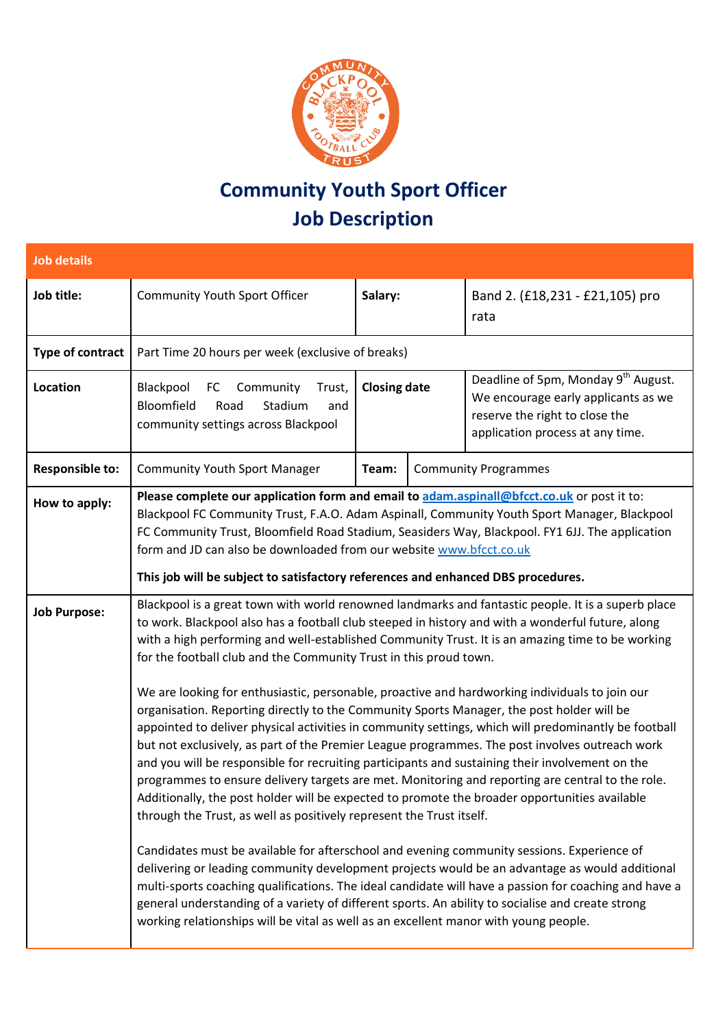

## **Community Youth Sport Officer Job Description**

| <b>Job details</b>      |                                                                                                                                                                                                                                                                                                                                                                                                                                                                                                                                                                                                                                                                                                                                                                                                                                                                                                                                                                                                                                                                                                                                                                                                                                                                                                                                                                                                                                                                                                                                                                                                                                                                                 |                     |  |                                                                                                                                                              |
|-------------------------|---------------------------------------------------------------------------------------------------------------------------------------------------------------------------------------------------------------------------------------------------------------------------------------------------------------------------------------------------------------------------------------------------------------------------------------------------------------------------------------------------------------------------------------------------------------------------------------------------------------------------------------------------------------------------------------------------------------------------------------------------------------------------------------------------------------------------------------------------------------------------------------------------------------------------------------------------------------------------------------------------------------------------------------------------------------------------------------------------------------------------------------------------------------------------------------------------------------------------------------------------------------------------------------------------------------------------------------------------------------------------------------------------------------------------------------------------------------------------------------------------------------------------------------------------------------------------------------------------------------------------------------------------------------------------------|---------------------|--|--------------------------------------------------------------------------------------------------------------------------------------------------------------|
| Job title:              | <b>Community Youth Sport Officer</b>                                                                                                                                                                                                                                                                                                                                                                                                                                                                                                                                                                                                                                                                                                                                                                                                                                                                                                                                                                                                                                                                                                                                                                                                                                                                                                                                                                                                                                                                                                                                                                                                                                            | Salary:             |  | Band 2. (£18,231 - £21,105) pro<br>rata                                                                                                                      |
| <b>Type of contract</b> | Part Time 20 hours per week (exclusive of breaks)                                                                                                                                                                                                                                                                                                                                                                                                                                                                                                                                                                                                                                                                                                                                                                                                                                                                                                                                                                                                                                                                                                                                                                                                                                                                                                                                                                                                                                                                                                                                                                                                                               |                     |  |                                                                                                                                                              |
| <b>Location</b>         | FC Community<br>Blackpool<br>Trust,<br>Bloomfield<br>Stadium<br>Road<br>and<br>community settings across Blackpool                                                                                                                                                                                                                                                                                                                                                                                                                                                                                                                                                                                                                                                                                                                                                                                                                                                                                                                                                                                                                                                                                                                                                                                                                                                                                                                                                                                                                                                                                                                                                              | <b>Closing date</b> |  | Deadline of 5pm, Monday 9 <sup>th</sup> August.<br>We encourage early applicants as we<br>reserve the right to close the<br>application process at any time. |
| <b>Responsible to:</b>  | <b>Community Youth Sport Manager</b>                                                                                                                                                                                                                                                                                                                                                                                                                                                                                                                                                                                                                                                                                                                                                                                                                                                                                                                                                                                                                                                                                                                                                                                                                                                                                                                                                                                                                                                                                                                                                                                                                                            | Team:               |  | <b>Community Programmes</b>                                                                                                                                  |
| How to apply:           | Please complete our application form and email to adam.aspinall@bfcct.co.uk or post it to:<br>Blackpool FC Community Trust, F.A.O. Adam Aspinall, Community Youth Sport Manager, Blackpool<br>FC Community Trust, Bloomfield Road Stadium, Seasiders Way, Blackpool. FY1 6JJ. The application<br>form and JD can also be downloaded from our website www.bfcct.co.uk<br>This job will be subject to satisfactory references and enhanced DBS procedures.                                                                                                                                                                                                                                                                                                                                                                                                                                                                                                                                                                                                                                                                                                                                                                                                                                                                                                                                                                                                                                                                                                                                                                                                                        |                     |  |                                                                                                                                                              |
| <b>Job Purpose:</b>     | Blackpool is a great town with world renowned landmarks and fantastic people. It is a superb place<br>to work. Blackpool also has a football club steeped in history and with a wonderful future, along<br>with a high performing and well-established Community Trust. It is an amazing time to be working<br>for the football club and the Community Trust in this proud town.<br>We are looking for enthusiastic, personable, proactive and hardworking individuals to join our<br>organisation. Reporting directly to the Community Sports Manager, the post holder will be<br>appointed to deliver physical activities in community settings, which will predominantly be football<br>but not exclusively, as part of the Premier League programmes. The post involves outreach work<br>and you will be responsible for recruiting participants and sustaining their involvement on the<br>programmes to ensure delivery targets are met. Monitoring and reporting are central to the role.<br>Additionally, the post holder will be expected to promote the broader opportunities available<br>through the Trust, as well as positively represent the Trust itself.<br>Candidates must be available for afterschool and evening community sessions. Experience of<br>delivering or leading community development projects would be an advantage as would additional<br>multi-sports coaching qualifications. The ideal candidate will have a passion for coaching and have a<br>general understanding of a variety of different sports. An ability to socialise and create strong<br>working relationships will be vital as well as an excellent manor with young people. |                     |  |                                                                                                                                                              |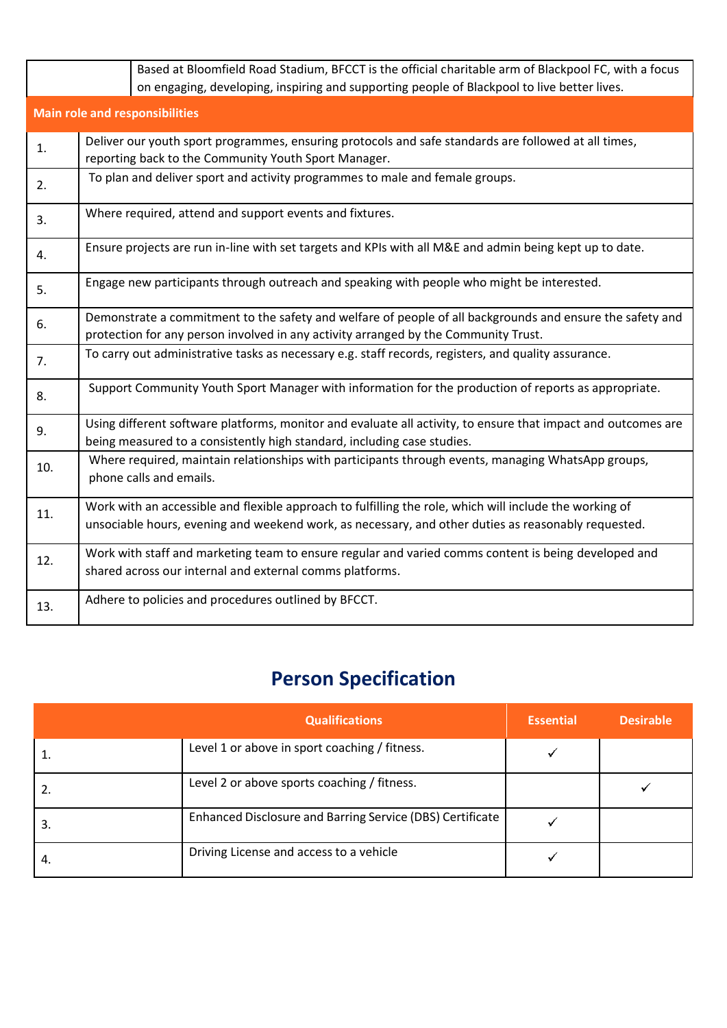|                                       | Based at Bloomfield Road Stadium, BFCCT is the official charitable arm of Blackpool FC, with a focus<br>on engaging, developing, inspiring and supporting people of Blackpool to live better lives.            |  |  |  |
|---------------------------------------|----------------------------------------------------------------------------------------------------------------------------------------------------------------------------------------------------------------|--|--|--|
| <b>Main role and responsibilities</b> |                                                                                                                                                                                                                |  |  |  |
| 1.                                    | Deliver our youth sport programmes, ensuring protocols and safe standards are followed at all times,<br>reporting back to the Community Youth Sport Manager.                                                   |  |  |  |
| 2.                                    | To plan and deliver sport and activity programmes to male and female groups.                                                                                                                                   |  |  |  |
| 3.                                    | Where required, attend and support events and fixtures.                                                                                                                                                        |  |  |  |
| 4.                                    | Ensure projects are run in-line with set targets and KPIs with all M&E and admin being kept up to date.                                                                                                        |  |  |  |
| 5.                                    | Engage new participants through outreach and speaking with people who might be interested.                                                                                                                     |  |  |  |
| 6.                                    | Demonstrate a commitment to the safety and welfare of people of all backgrounds and ensure the safety and<br>protection for any person involved in any activity arranged by the Community Trust.               |  |  |  |
| 7.                                    | To carry out administrative tasks as necessary e.g. staff records, registers, and quality assurance.                                                                                                           |  |  |  |
| 8.                                    | Support Community Youth Sport Manager with information for the production of reports as appropriate.                                                                                                           |  |  |  |
| 9.                                    | Using different software platforms, monitor and evaluate all activity, to ensure that impact and outcomes are<br>being measured to a consistently high standard, including case studies.                       |  |  |  |
| 10.                                   | Where required, maintain relationships with participants through events, managing WhatsApp groups,<br>phone calls and emails.                                                                                  |  |  |  |
| 11.                                   | Work with an accessible and flexible approach to fulfilling the role, which will include the working of<br>unsociable hours, evening and weekend work, as necessary, and other duties as reasonably requested. |  |  |  |
| 12.                                   | Work with staff and marketing team to ensure regular and varied comms content is being developed and<br>shared across our internal and external comms platforms.                                               |  |  |  |
| 13.                                   | Adhere to policies and procedures outlined by BFCCT.                                                                                                                                                           |  |  |  |

## **Person Specification**

|    | <b>Qualifications</b>                                     | <b>Essential</b> | <b>Desirable</b> |
|----|-----------------------------------------------------------|------------------|------------------|
|    | Level 1 or above in sport coaching / fitness.             |                  |                  |
|    | Level 2 or above sports coaching / fitness.               |                  |                  |
| 3. | Enhanced Disclosure and Barring Service (DBS) Certificate |                  |                  |
| 4. | Driving License and access to a vehicle                   |                  |                  |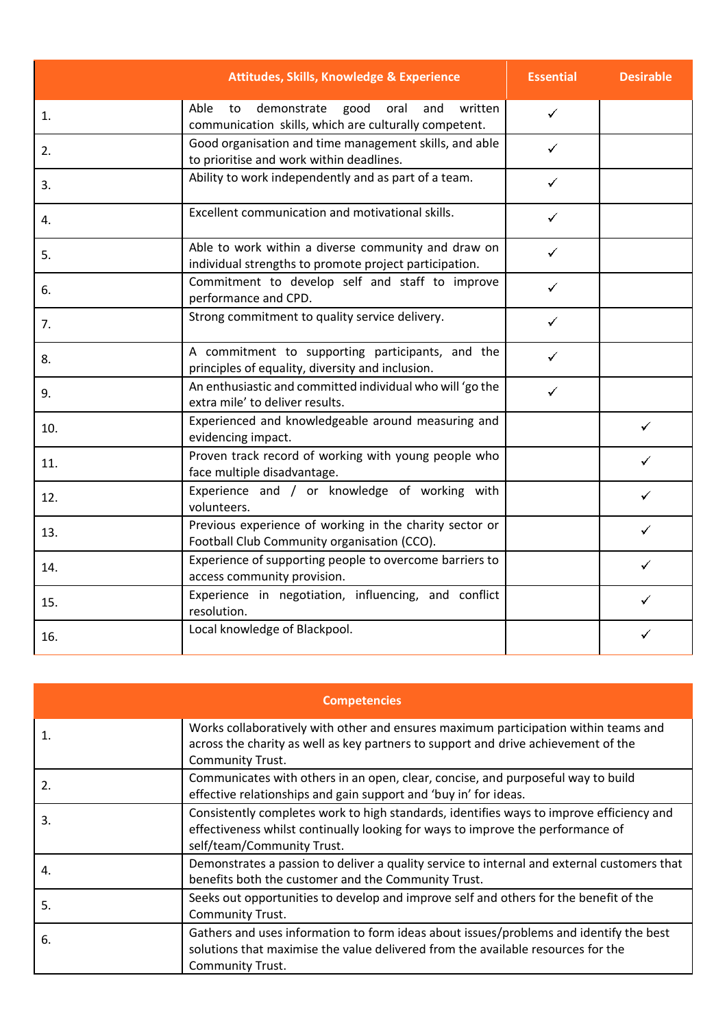|     | <b>Attitudes, Skills, Knowledge &amp; Experience</b>                                                                 | <b>Essential</b> | <b>Desirable</b> |
|-----|----------------------------------------------------------------------------------------------------------------------|------------------|------------------|
| 1.  | Able<br>demonstrate<br>oral<br>to<br>good<br>and<br>written<br>communication skills, which are culturally competent. | $\checkmark$     |                  |
| 2.  | Good organisation and time management skills, and able<br>to prioritise and work within deadlines.                   | ✓                |                  |
| 3.  | Ability to work independently and as part of a team.                                                                 |                  |                  |
| 4.  | Excellent communication and motivational skills.                                                                     | ✓                |                  |
| 5.  | Able to work within a diverse community and draw on<br>individual strengths to promote project participation.        | ✓                |                  |
| 6.  | Commitment to develop self and staff to improve<br>performance and CPD.                                              | ✓                |                  |
| 7.  | Strong commitment to quality service delivery.                                                                       | ✓                |                  |
| 8.  | A commitment to supporting participants, and the<br>principles of equality, diversity and inclusion.                 |                  |                  |
| 9.  | An enthusiastic and committed individual who will 'go the<br>extra mile' to deliver results.                         | ✓                |                  |
| 10. | Experienced and knowledgeable around measuring and<br>evidencing impact.                                             |                  | ✓                |
| 11. | Proven track record of working with young people who<br>face multiple disadvantage.                                  |                  |                  |
| 12. | Experience and / or knowledge of working with<br>volunteers.                                                         |                  |                  |
| 13. | Previous experience of working in the charity sector or<br>Football Club Community organisation (CCO).               |                  |                  |
| 14. | Experience of supporting people to overcome barriers to<br>access community provision.                               |                  | ✓                |
| 15. | Experience in negotiation, influencing, and conflict<br>resolution.                                                  |                  | ✓                |
| 16. | Local knowledge of Blackpool.                                                                                        |                  |                  |

| <b>Competencies</b> |                                                                                                                                                                                                           |  |
|---------------------|-----------------------------------------------------------------------------------------------------------------------------------------------------------------------------------------------------------|--|
| 1.                  | Works collaboratively with other and ensures maximum participation within teams and<br>across the charity as well as key partners to support and drive achievement of the<br><b>Community Trust.</b>      |  |
| 2.                  | Communicates with others in an open, clear, concise, and purposeful way to build<br>effective relationships and gain support and 'buy in' for ideas.                                                      |  |
| 3.                  | Consistently completes work to high standards, identifies ways to improve efficiency and<br>effectiveness whilst continually looking for ways to improve the performance of<br>self/team/Community Trust. |  |
| 4.                  | Demonstrates a passion to deliver a quality service to internal and external customers that<br>benefits both the customer and the Community Trust.                                                        |  |
| 5.                  | Seeks out opportunities to develop and improve self and others for the benefit of the<br>Community Trust.                                                                                                 |  |
| 6.                  | Gathers and uses information to form ideas about issues/problems and identify the best<br>solutions that maximise the value delivered from the available resources for the<br>Community Trust.            |  |